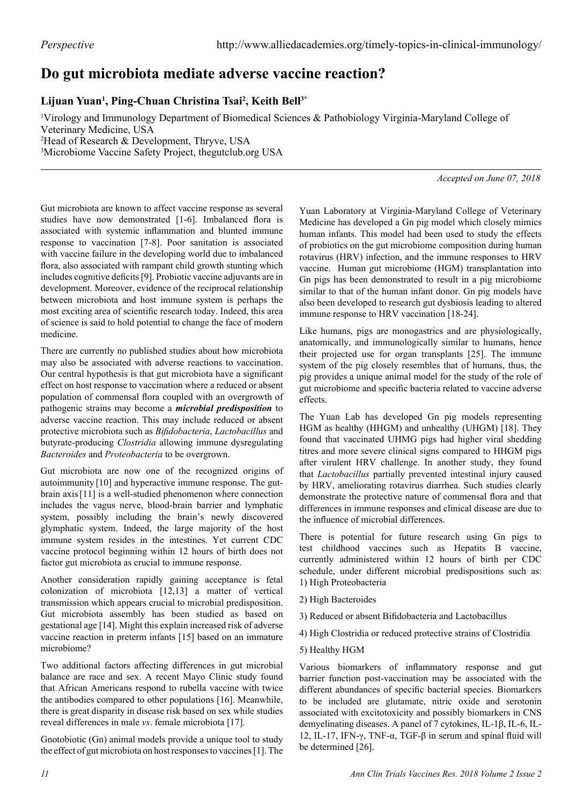## **Do gut microbiota mediate adverse vaccine reaction?**

## **Lijuan Yuan1 , Ping-Chuan Christina Tsai2 , Keith Bell3\***

 Virology and Immunology Department of Biomedical Sciences & Pathobiology Virginia-Maryland College of Veterinary Medicine, USA Head of Research & Development, Thryve, USA Microbiome Vaccine Safety Project, thegutclub.org USA

*Accepted on June 07, 2018*

Gut microbiota are known to affect vaccine response as several studies have now demonstrated [1-6]. Imbalanced flora is associated with systemic inflammation and blunted immune response to vaccination [7-8]. Poor sanitation is associated with vaccine failure in the developing world due to imbalanced flora, also associated with rampant child growth stunting which includes cognitive deficits [9]. Probiotic vaccine adjuvants are in development. Moreover, evidence of the reciprocal relationship between microbiota and host immune system is perhaps the most exciting area of scientific research today. Indeed, this area of science is said to hold potential to change the face of modern medicine.

There are currently no published studies about how microbiota may also be associated with adverse reactions to vaccination. Our central hypothesis is that gut microbiota have a significant effect on host response to vaccination where a reduced or absent population of commensal flora coupled with an overgrowth of pathogenic strains may become a *microbial predisposition* to adverse vaccine reaction. This may include reduced or absent protective microbiota such as *Bifidobacteria*, *Lactobacillus* and butyrate-producing *Clostridia* allowing immune dysregulating *Bacteroides* and *Proteobacteria* to be overgrown.

Gut microbiota are now one of the recognized origins of autoimmunity [10] and hyperactive immune response. The gutbrain axis[11] is a well-studied phenomenon where connection includes the vagus nerve, blood-brain barrier and lymphatic system, possibly including the brain's newly discovered glymphatic system. Indeed, the large majority of the host immune system resides in the intestines. Yet current CDC vaccine protocol beginning within 12 hours of birth does not factor gut microbiota as crucial to immune response.

Another consideration rapidly gaining acceptance is fetal colonization of microbiota [12,13] a matter of vertical transmission which appears crucial to microbial predisposition. Gut microbiota assembly has been studied as based on gestational age [14]. Might this explain increased risk of adverse vaccine reaction in preterm infants [15] based on an immature microbiome?

Two additional factors affecting differences in gut microbial balance are race and sex. A recent Mayo Clinic study found that African Americans respond to rubella vaccine with twice the antibodies compared to other populations [16]. Meanwhile, there is great disparity in disease risk based on sex while studies reveal differences in male *vs*. female microbiota [17].

Gnotobiotic (Gn) animal models provide a unique tool to study the effect of gut microbiota on host responses to vaccines [1]. The

Yuan Laboratory at Virginia-Maryland College of Veterinary Medicine has developed a Gn pig model which closely mimics human infants. This model had been used to study the effects of probiotics on the gut microbiome composition during human rotavirus (HRV) infection, and the immune responses to HRV vaccine. Human gut microbiome (HGM) transplantation into Gn pigs has been demonstrated to result in a pig microbiome similar to that of the human infant donor. Gn pig models have also been developed to research gut dysbiosis leading to altered immune response to HRV vaccination [18-24].

Like humans, pigs are monogastrics and are physiologically, anatomically, and immunologically similar to humans, hence their projected use for organ transplants [25]. The immune system of the pig closely resembles that of humans, thus, the pig provides a unique animal model for the study of the role of gut microbiome and specific bacteria related to vaccine adverse effects.

The Yuan Lab has developed Gn pig models representing HGM as healthy (HHGM) and unhealthy (UHGM) [18]. They found that vaccinated UHMG pigs had higher viral shedding titres and more severe clinical signs compared to HHGM pigs after virulent HRV challenge. In another study, they found that *Lactobacillus* partially prevented intestinal injury caused by HRV, ameliorating rotavirus diarrhea. Such studies clearly demonstrate the protective nature of commensal flora and that differences in immune responses and clinical disease are due to the influence of microbial differences.

There is potential for future research using Gn pigs to test childhood vaccines such as Hepatits B vaccine, currently administered within 12 hours of birth per CDC schedule, under different microbial predispositions such as: 1) High Proteobacteria

- 2) High Bacteroides
- 3) Reduced or absent Bifidobacteria and Lactobacillus
- 4) High Clostridia or reduced protective strains of Clostridia
- 5) Healthy HGM

Various biomarkers of inflammatory response and gut barrier function post-vaccination may be associated with the different abundances of specific bacterial species. Biomarkers to be included are glutamate, nitric oxide and serotonin associated with excitotoxicity and possibly biomarkers in CNS demyelinating diseases. A panel of 7 cytokines, IL-1β, IL-6, IL-12, IL-17, IFN-γ, TNF-α, TGF-β in serum and spinal fluid will be determined [26].